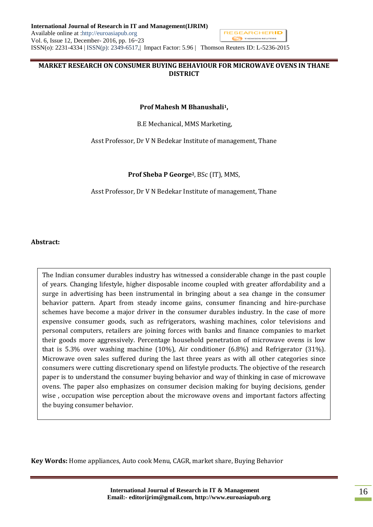## **MARKET RESEARCH ON CONSUMER BUYING BEHAVIOUR FOR MICROWAVE OVENS IN THANE DISTRICT**

#### **Prof Mahesh M Bhanushali1,**

B.E Mechanical, MMS Marketing,

Asst Professor, Dr V N Bedekar Institute of management, Thane

#### **Prof Sheba P George2**, BSc (IT), MMS,

Asst Professor, Dr V N Bedekar Institute of management, Thane

#### **Abstract:**

The Indian consumer durables industry has witnessed a considerable change in the past couple of years. Changing lifestyle, higher disposable income coupled with greater affordability and a surge in advertising has been instrumental in bringing about a sea change in the consumer behavior pattern. Apart from steady income gains, consumer financing and hire-purchase schemes have become a major driver in the consumer durables industry. In the case of more expensive consumer goods, such as refrigerators, washing machines, color televisions and personal computers, retailers are joining forces with banks and finance companies to market their goods more aggressively. Percentage household penetration of microwave ovens is low that is 5.3% over washing machine (10%), Air conditioner (6.8%) and Refrigerator (31%). Microwave oven sales suffered during the last three years as with all other categories since consumers were cutting discretionary spend on lifestyle products. The objective of the research paper is to understand the consumer buying behavior and way of thinking in case of microwave ovens. The paper also emphasizes on consumer decision making for buying decisions, gender wise , occupation wise perception about the microwave ovens and important factors affecting the buying consumer behavior.

**Key Words:** Home appliances, Auto cook Menu, CAGR, market share, Buying Behavior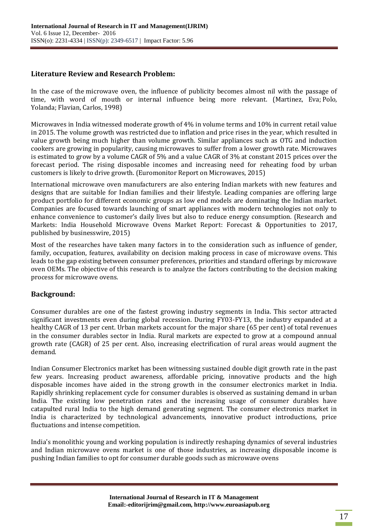# **Literature Review and Research Problem:**

In the case of the microwave oven, the influence of publicity becomes almost nil with the passage of time, with word of mouth or internal influence being more relevant. [\(Martinez, Eva;](http://search.proquest.com/business/indexinglinkhandler/sng/au/Martinez,+Eva/$N?accountid=34397) [Polo,](http://search.proquest.com/business/indexinglinkhandler/sng/au/Polo,+Yolanda/$N?accountid=34397)  [Yolanda;](http://search.proquest.com/business/indexinglinkhandler/sng/au/Polo,+Yolanda/$N?accountid=34397) [Flavian, Carlos,](http://search.proquest.com/business/indexinglinkhandler/sng/au/Flavian,+Carlos/$N?accountid=34397) 1998)

Microwaves in India witnessed moderate growth of 4% in volume terms and 10% in current retail value in 2015. The volume growth was restricted due to inflation and price rises in the year, which resulted in value growth being much higher than volume growth. Similar appliances such as OTG and induction cookers are growing in popularity, causing microwaves to suffer from a lower growth rate. Microwaves is estimated to grow by a volume CAGR of 5% and a value CAGR of 3% at constant 2015 prices over the forecast period. The rising disposable incomes and increasing need for reheating food by urban customers is likely to drive growth. (Euromonitor Report on Microwaves, 2015)

International microwave oven manufacturers are also entering Indian markets with new features and designs that are suitable for Indian families and their lifestyle. Leading companies are offering large product portfolio for different economic groups as low end models are dominating the Indian market. Companies are focused towards launching of smart appliances with modern technologies not only to enhance convenience to customer's daily lives but also to reduce energy consumption. (Research and Markets: India Household Microwave Ovens Market Report: Forecast & Opportunities to 2017, published by businesswire, 2015)

Most of the researches have taken many factors in to the consideration such as influence of gender, family, occupation, features, availability on decision making process in case of microwave ovens. This leads to the gap existing between consumer preferences, priorities and standard offerings by microwave oven OEMs. The objective of this research is to analyze the factors contributing to the decision making process for microwave ovens.

### **Background:**

Consumer durables are one of the fastest growing industry segments in India. This sector attracted significant investments even during global recession. During FY03-FY13, the industry expanded at a healthy CAGR of 13 per cent. Urban markets account for the major share (65 per cent) of total revenues in the consumer durables sector in India. Rural markets are expected to grow at a compound annual growth rate (CAGR) of 25 per cent. Also, increasing electrification of rural areas would augment the demand.

Indian Consumer Electronics market has been witnessing sustained double digit growth rate in the past few years. Increasing product awareness, affordable pricing, innovative products and the high disposable incomes have aided in the strong growth in the consumer electronics market in India. Rapidly shrinking replacement cycle for consumer durables is observed as sustaining demand in urban India. The existing low penetration rates and the increasing usage of consumer durables have catapulted rural India to the high demand generating segment. The consumer electronics market in India is characterized by technological advancements, innovative product introductions, price fluctuations and intense competition.

India's monolithic young and working population is indirectly reshaping dynamics of several industries and Indian microwave ovens market is one of those industries, as increasing disposable income is pushing Indian families to opt for consumer durable goods such as microwave ovens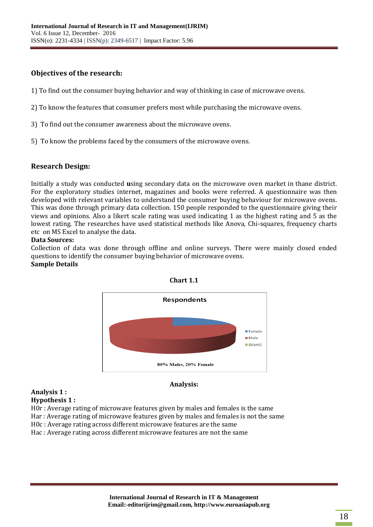# **Objectives of the research:**

- 1) To find out the consumer buying behavior and way of thinking in case of microwave ovens.
- 2) To know the features that consumer prefers most while purchasing the microwave ovens.
- 3) To find out the consumer awareness about the microwave ovens.
- 5) To know the problems faced by the consumers of the microwave ovens.

## **Research Design:**

Initially a study was conducted **u**sing secondary data on the microwave oven market in thane district. For the exploratory studies internet, magazines and books were referred. A questionnaire was then developed with relevant variables to understand the consumer buying behaviour for microwave ovens. This was done through primary data collection. 150 people responded to the questionnaire giving their views and opinions. Also a likert scale rating was used indicating 1 as the highest rating and 5 as the lowest rating. The researches have used statistical methods like Anova, Chi-squares, frequency charts etc on MS Excel to analyse the data.

#### **Data Sources:**

Collection of data was done through offline and online surveys. There were mainly closed ended questions to identify the consumer buying behavior of microwave ovens. **Sample Details**





# **Analysis 1 :**

#### **Analysis:**

# **Hypothesis 1 :**

H0r : Average rating of microwave features given by males and females is the same

Har : Average rating of microwave features given by males and females is not the same

H0c : Average rating across different microwave features are the same

Hac : Average rating across different microwave features are not the same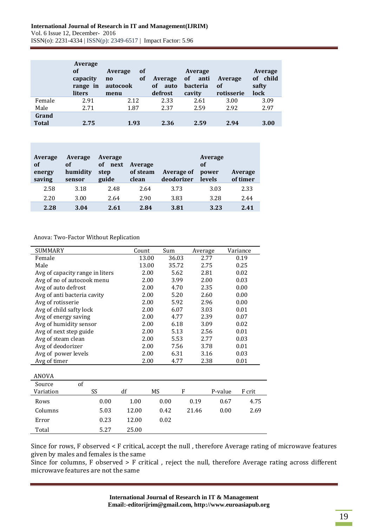|              | Average<br>of<br>capacity<br>range in<br><b>liters</b> | 0f<br>Average<br><b>of</b><br>$\mathbf{n}$<br>autocook<br>menu | Average<br><b>of</b><br>auto<br>defrost | Average<br>of<br>anti<br><b>bacteria</b><br>cavity | Average<br>of<br>rotisserie | Average<br>of child<br>safty<br>lock |
|--------------|--------------------------------------------------------|----------------------------------------------------------------|-----------------------------------------|----------------------------------------------------|-----------------------------|--------------------------------------|
| Female       | 2.91                                                   | 2.12                                                           | 2.33                                    | 2.61                                               | 3.00                        | 3.09                                 |
| Male         | 2.71                                                   | 1.87                                                           | 2.37                                    | 2.59                                               | 2.92                        | 2.97                                 |
| Grand        |                                                        |                                                                |                                         |                                                    |                             |                                      |
| <b>Total</b> | 2.75                                                   | 1.93                                                           | 2.36                                    | 2.59                                               | 2.94                        | 3.00                                 |

| Average<br>of<br>energy<br>saving | Average<br>of<br>humidity<br>sensor | Average<br>оf<br>next<br>step<br>guide | Average<br>of steam<br>clean | <b>Average of</b><br>deodorizer | Average<br>оf<br>power<br><b>levels</b> | Average<br>of timer |
|-----------------------------------|-------------------------------------|----------------------------------------|------------------------------|---------------------------------|-----------------------------------------|---------------------|
| 2.58                              | 3.18                                | 2.48                                   | 2.64                         | 3.73                            | 3.03                                    | 2.33                |
| 2.20                              | 3.00                                | 2.64                                   | 2.90                         | 3.83                            | 3.28                                    | 2.44                |
| 2.28                              | 3.04                                | 2.61                                   | 2.84                         | 3.81                            | 3.23                                    | 2.41                |

Anova: Two-Factor Without Replication

| SUMMARY                         |    |      | Count |       | Sum   |      | Average |      |         | Variance |
|---------------------------------|----|------|-------|-------|-------|------|---------|------|---------|----------|
| Female                          |    |      |       | 13.00 | 36.03 |      |         | 2.77 |         | 0.19     |
| Male                            |    |      |       | 13.00 | 35.72 |      |         | 2.75 |         | 0.25     |
| Avg of capacity range in liters |    |      |       | 2.00  |       | 5.62 |         | 2.81 |         | 0.02     |
| Avg of no of autocook menu      |    |      |       | 2.00  |       | 3.99 |         | 2.00 |         | 0.03     |
| Avg of auto defrost             |    |      |       | 2.00  |       | 4.70 |         | 2.35 |         | 0.00     |
| Avg of anti bacteria cavity     |    |      |       | 2.00  |       | 5.20 |         | 2.60 |         | 0.00     |
| Avg of rotisserie               |    |      |       | 2.00  |       | 5.92 |         | 2.96 |         | 0.00     |
| Avg of child safty lock         |    |      |       | 2.00  |       | 6.07 |         | 3.03 |         | 0.01     |
| Avg of energy saving            |    |      |       | 2.00  |       | 4.77 |         | 2.39 |         | 0.07     |
| Avg of humidity sensor          |    |      |       | 2.00  |       | 6.18 |         | 3.09 |         | 0.02     |
| Avg of next step guide          |    |      | 2.00  |       | 5.13  |      | 2.56    |      | 0.01    |          |
| Avg of steam clean              |    |      |       | 2.00  |       | 5.53 |         | 2.77 |         | 0.03     |
| Avg of deodorizer               |    |      |       | 2.00  |       | 7.56 |         | 3.78 |         | 0.01     |
| Avg of power levels             |    |      | 2.00  |       | 6.31  |      | 3.16    |      | 0.03    |          |
| Avg of timer                    |    |      |       | 2.00  |       | 4.77 |         | 2.38 |         | 0.01     |
|                                 |    |      |       |       |       |      |         |      |         |          |
| ANOVA                           |    |      |       |       |       |      |         |      |         |          |
| Source                          | of |      |       |       |       |      |         |      |         |          |
| Variation                       |    | SS   | df    | MS    |       | F    |         |      | P-value | F crit   |
| Rows                            |    | 0.00 | 1.00  |       | 0.00  |      | 0.19    |      | 0.67    | 4.75     |
| Columns                         |    | 5.03 | 12.00 |       | 0.42  |      | 21.46   |      | 0.00    | 2.69     |
| Error                           |    | 0.23 | 12.00 |       | 0.02  |      |         |      |         |          |
| Total                           |    | 5.27 | 25.00 |       |       |      |         |      |         |          |

Since for rows, F observed < F critical, accept the null , therefore Average rating of microwave features given by males and females is the same

Since for columns, F observed > F critical , reject the null, therefore Average rating across different microwave features are not the same

> **International Journal of Research in IT & Management Email:-editorijrim@gmail.com, http://www.euroasiapub.org**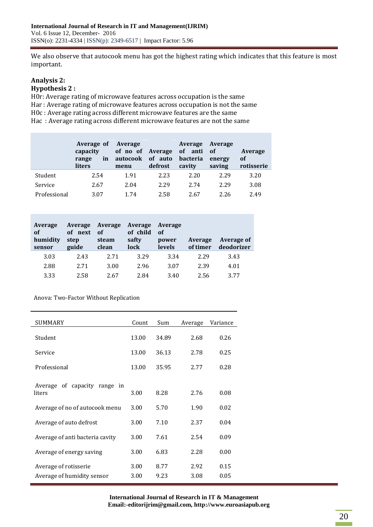We also observe that autocook menu has got the highest rating which indicates that this feature is most important.

#### **Analysis 2: Hypothesis 2 :**

H0r: Average rating of microwave features across occupation is the same Har : Average rating of microwave features across occupation is not the same H0c : Average rating across different microwave features are the same Hac : Average rating across different microwave features are not the same

|              | Average of<br>capacity<br>in<br>range<br>liters | Average<br>of no of Average<br>autocook<br>menu | of auto<br>defrost | Average<br>of anti<br>bacteria<br>cavity | Average<br>- of<br>energy<br>saving | <b>Average</b><br>of<br>rotisserie |
|--------------|-------------------------------------------------|-------------------------------------------------|--------------------|------------------------------------------|-------------------------------------|------------------------------------|
| Student      | 2.54                                            | 1.91                                            | 2.23               | 2.20                                     | 2.29                                | 3.20                               |
| Service      | 2.67                                            | 2.04                                            | 2.29               | 2.74                                     | 2.29                                | 3.08                               |
| Professional | 3.07                                            | 1 74                                            | 2.58               | 2.67                                     | 2.26                                | 2.49                               |

| Average<br>of<br>humidity<br>sensor | <b>Average</b><br>next<br>of<br>step<br>guide | Average<br>of<br>steam<br>clean | Average<br>of child<br>safty<br>lock | Average<br>of<br>power<br>levels | Average<br>of timer | <b>Average of</b><br>deodorizer |
|-------------------------------------|-----------------------------------------------|---------------------------------|--------------------------------------|----------------------------------|---------------------|---------------------------------|
| 3.03                                | 2.43                                          | 2.71                            | 3.29                                 | 3.34                             | 2.29                | 3.43                            |
| 2.88                                | 2.71                                          | 3.00                            | 2.96                                 | 3.07                             | 2.39                | 4.01                            |
| 3.33                                | 2.58                                          | 2.67                            | 2.84                                 | 3.40                             | 2.56                | 3.77                            |

Anova: Two-Factor Without Replication

| <b>SUMMARY</b>                               | Count | Sum   | Average | Variance |
|----------------------------------------------|-------|-------|---------|----------|
| Student                                      | 13.00 | 34.89 | 2.68    | 0.26     |
| Service                                      | 13.00 | 36.13 | 2.78    | 0.25     |
| Professional                                 | 13.00 | 35.95 | 2.77    | 0.28     |
|                                              |       |       |         |          |
| of capacity range<br>Average<br>in<br>liters | 3.00  | 8.28  | 2.76    | 0.08     |
| Average of no of autocook menu               | 3.00  | 5.70  | 1.90    | 0.02     |
| Average of auto defrost                      | 3.00  | 7.10  | 2.37    | 0.04     |
| Average of anti bacteria cavity              | 3.00  | 7.61  | 2.54    | 0.09     |
| Average of energy saving                     | 3.00  | 6.83  | 2.28    | 0.00     |
| Average of rotisserie                        | 3.00  | 8.77  | 2.92    | 0.15     |
| Average of humidity sensor                   | 3.00  | 9.23  | 3.08    | 0.05     |

**International Journal of Research in IT & Management Email:-editorijrim@gmail.com, http://www.euroasiapub.org**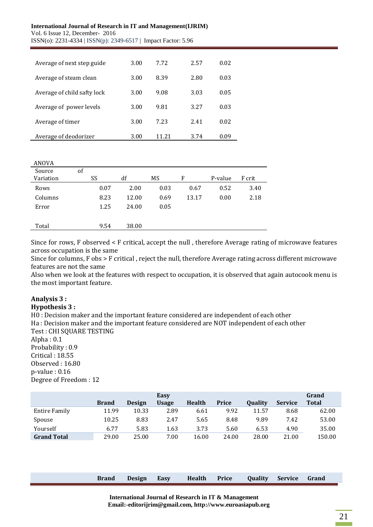#### **International Journal of Research in IT and Management(IJRIM)** Vol. 6 Issue 12, December- 2016

ISSN(o): 2231-4334 | ISSN(p): 2349-6517 | Impact Factor: 5.96

| Average of next step guide  | 3.00 | 7.72  | 2.57 | 0.02 |
|-----------------------------|------|-------|------|------|
| Average of steam clean      | 3.00 | 8.39  | 2.80 | 0.03 |
| Average of child safty lock | 3.00 | 9.08  | 3.03 | 0.05 |
| Average of power levels     | 3.00 | 9.81  | 3.27 | 0.03 |
| Average of timer            | 3.00 | 7.23  | 2.41 | 0.02 |
| Average of deodorizer       | 3.00 | 11 21 | 3.74 | 0.09 |

| ANOVA     |    |      |       |      |       |         |        |
|-----------|----|------|-------|------|-------|---------|--------|
| Source    | of |      |       |      |       |         |        |
| Variation |    | SS   | df    | MS   | F     | P-value | F crit |
| Rows      |    | 0.07 | 2.00  | 0.03 | 0.67  | 0.52    | 3.40   |
| Columns   |    | 8.23 | 12.00 | 0.69 | 13.17 | 0.00    | 2.18   |
| Error     |    | 1.25 | 24.00 | 0.05 |       |         |        |
|           |    |      |       |      |       |         |        |
| Total     |    | 9.54 | 38.00 |      |       |         |        |

Since for rows, F observed < F critical, accept the null , therefore Average rating of microwave features across occupation is the same

Since for columns, F obs > F critical , reject the null, therefore Average rating across different microwave features are not the same

Also when we look at the features with respect to occupation, it is observed that again autocook menu is the most important feature.

# **Analysis 3 :**

#### **Hypothesis 3 :**

H0 : Decision maker and the important feature considered are independent of each other Ha : Decision maker and the important feature considered are NOT independent of each other Test : CHI SQUARE TESTING

Alpha : 0.1 Probability : 0.9 Critical : 18.55 Observed : 16.80 p-value : 0.16 Degree of Freedom : 12

|                    |              |               | Easy         |               |              |                |                | Grand        |
|--------------------|--------------|---------------|--------------|---------------|--------------|----------------|----------------|--------------|
|                    | <b>Brand</b> | <b>Design</b> | <b>Usage</b> | <b>Health</b> | <b>Price</b> | <b>Ouality</b> | <b>Service</b> | <b>Total</b> |
| Entire Family      | 11.99        | 10.33         | 2.89         | 6.61          | 9.92         | 11.57          | 8.68           | 62.00        |
| Spouse             | 10.25        | 8.83          | 2.47         | 5.65          | 8.48         | 9.89           | 7.42           | 53.00        |
| Yourself           | 6.77         | 5.83          | 1.63         | 3.73          | 5.60         | 6.53           | 4.90           | 35.00        |
| <b>Grand Total</b> | 29.00        | 25.00         | 7.00         | 16.00         | 24.00        | 28.00          | 21.00          | 150.00       |

| <b>Brand</b> | <b>Design</b> | Easy | <b>Health</b> | Price | Quality | Service | Grand |  |
|--------------|---------------|------|---------------|-------|---------|---------|-------|--|
|              |               |      |               |       |         |         |       |  |

**International Journal of Research in IT & Management Email:-editorijrim@gmail.com, http://www.euroasiapub.org**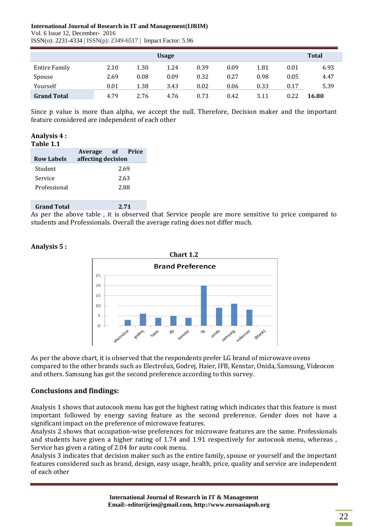### **International Journal of Research in IT and Management(IJRIM)**

Vol. 6 Issue 12, December- 2016 ISSN(o): 2231-4334 | ISSN(p): 2349-6517 | Impact Factor: 5.96

|                      |      |      | <b>Usage</b> |      |      |      |      | <b>Total</b> |
|----------------------|------|------|--------------|------|------|------|------|--------------|
| <b>Entire Family</b> | 2.10 | 1.30 | 1.24         | 0.39 | 0.09 | 1.81 | 0.01 | 6.93         |
| Spouse               | 2.69 | 0.08 | 0.09         | 0.32 | 0.27 | 0.98 | 0.05 | 4.47         |
| Yourself             | 0.01 | 1.38 | 3.43         | 0.02 | 0.06 | 0.33 | 0.17 | 5.39         |
| <b>Grand Total</b>   | 4.79 | 2.76 | 4.76         | 0.73 | 0.42 | 3.11 | 0.22 | 16.80        |

Since p value is more than alpha, we accept the null. Therefore, Decision maker and the important feature considered are independent of each other

#### **Analysis 4 : Table 1.1**

| $\cdots$          |                                        |  |      |  |  |  |  |
|-------------------|----------------------------------------|--|------|--|--|--|--|
| <b>Row Labels</b> | Average of Price<br>affecting decision |  |      |  |  |  |  |
|                   |                                        |  |      |  |  |  |  |
| Student           |                                        |  | 2.69 |  |  |  |  |
| Service           | 2.63                                   |  |      |  |  |  |  |
| Professional      |                                        |  | 2.88 |  |  |  |  |
|                   |                                        |  |      |  |  |  |  |
|                   |                                        |  |      |  |  |  |  |

**Grand Total 2.71**  As per the above table , it is observed that Service people are more sensitive to price compared to students and Professionals. Overall the average rating does not differ much.



**Analysis 5 :**

As per the above chart, it is observed that the respondents prefer LG brand of microwave ovens compared to the other brands such as Electrolux, Godrej, Haier, IFB, Kenstar, Onida, Samsung, Videocon and others. Samsung has got the second preference according to this survey.

# **Conclusions and findings:**

Analysis 1 shows that autocook menu has got the highest rating which indicates that this feature is most important followed by energy saving feature as the second preference. Gender does not have a significant impact on the preference of microwave features.

Analysis 2 shows that occupation-wise preferences for microwave features are the same. Professionals and students have given a higher rating of 1.74 and 1.91 respectively for autocook menu, whereas , Service has given a rating of 2.04 for auto cook menu.

Analysis 3 indicates that decision maker such as the entire family, spouse or yourself and the important features considered such as brand, design, easy usage, health, price, quality and service are independent of each other